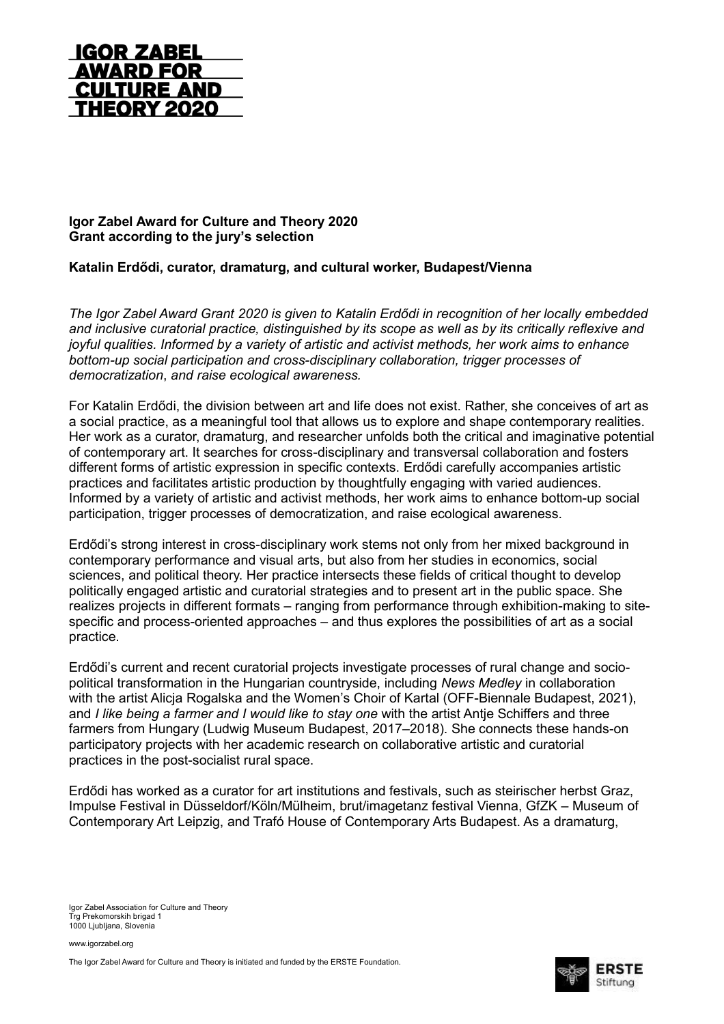

## **Igor Zabel Award for Culture and Theory 2020 Grant according to the jury's selection**

## **Katalin Erdődi, curator, dramaturg, and cultural worker, Budapest/Vienna**

*The Igor Zabel Award Grant 2020 is given to Katalin Erdődi in recognition of her locally embedded and inclusive curatorial practice, distinguished by its scope as well as by its critically reflexive and joyful qualities. Informed by a variety of artistic and activist methods, her work aims to enhance bottom-up social participation and cross-disciplinary collaboration, trigger processes of democratization*, *and raise ecological awareness.*

For Katalin Erdődi, the division between art and life does not exist. Rather, she conceives of art as a social practice, as a meaningful tool that allows us to explore and shape contemporary realities. Her work as a curator, dramaturg, and researcher unfolds both the critical and imaginative potential of contemporary art. It searches for cross-disciplinary and transversal collaboration and fosters different forms of artistic expression in specific contexts. Erdődi carefully accompanies artistic practices and facilitates artistic production by thoughtfully engaging with varied audiences. Informed by a variety of artistic and activist methods, her work aims to enhance bottom-up social participation, trigger processes of democratization, and raise ecological awareness.

Erdődi's strong interest in cross-disciplinary work stems not only from her mixed background in contemporary performance and visual arts, but also from her studies in economics, social sciences, and political theory. Her practice intersects these fields of critical thought to develop politically engaged artistic and curatorial strategies and to present art in the public space. She realizes projects in different formats – ranging from performance through exhibition-making to sitespecific and process-oriented approaches – and thus explores the possibilities of art as a social practice.

Erdődi's current and recent curatorial projects investigate processes of rural change and sociopolitical transformation in the Hungarian countryside, including *News Medley* in collaboration with the artist Alicja Rogalska and the Women's Choir of Kartal (OFF-Biennale Budapest, 2021), and *I like being a farmer and I would like to stay one* with the artist Antje Schiffers and three farmers from Hungary (Ludwig Museum Budapest, 2017–2018). She connects these hands-on participatory projects with her academic research on collaborative artistic and curatorial practices in the post-socialist rural space.

Erdődi has worked as a curator for art institutions and festivals, such as steirischer herbst Graz, Impulse Festival in Düsseldorf/Köln/Mülheim, brut/imagetanz festival Vienna, GfZK – Museum of Contemporary Art Leipzig, and Trafó House of Contemporary Arts Budapest. As a dramaturg,

Igor Zabel Association for Culture and Theory Trg Prekomorskih brigad 1 1000 Ljubljana, Slovenia

www.igorzabel.org

The Igor Zabel Award for Culture and Theory is initiated and funded by the ERSTE Foundation.